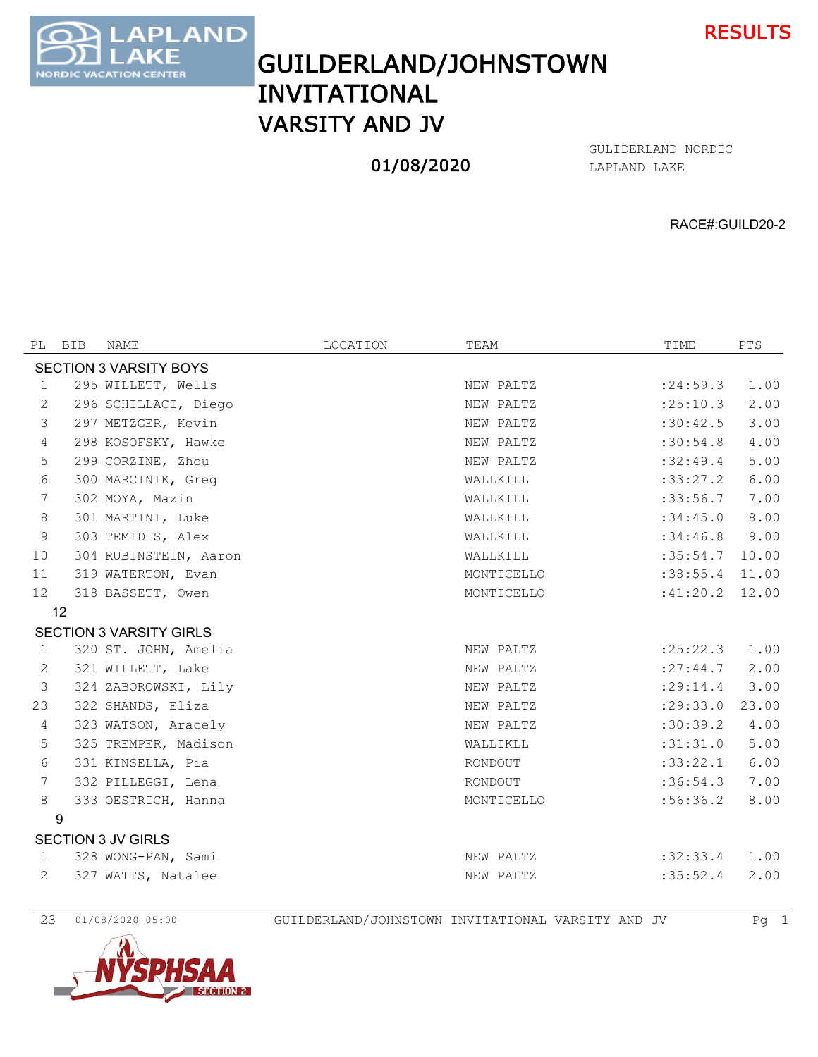

GUILDERLAND/JOHNSTOWN INVITATIONAL VARSITY AND JV

**AND** 

**ATION CENTER** 

**ORDIC** 

## 01/08/2020

LAPLAND LAKE GULIDERLAND NORDIC

RACE#:GUILD20-2

| PL                            | BIB | NAME                           | LOCATION | TEAM       | TIME       | PTS   |  |  |  |  |
|-------------------------------|-----|--------------------------------|----------|------------|------------|-------|--|--|--|--|
| <b>SECTION 3 VARSITY BOYS</b> |     |                                |          |            |            |       |  |  |  |  |
| $\mathbf{1}$                  |     | 295 WILLETT, Wells             |          | NEW PALTZ  | : 24:59.3  | 1.00  |  |  |  |  |
| 2                             |     | 296 SCHILLACI, Diego           |          | NEW PALTZ  | :25:10.3   | 2.00  |  |  |  |  |
| 3                             |     | 297 METZGER, Kevin             |          | NEW PALTZ  | :30:42.5   | 3.00  |  |  |  |  |
| $\overline{4}$                |     | 298 KOSOFSKY, Hawke            |          | NEW PALTZ  | :30:54.8   | 4.00  |  |  |  |  |
| 5                             |     | 299 CORZINE, Zhou              |          | NEW PALTZ  | :32:49.4   | 5.00  |  |  |  |  |
| 6                             |     | 300 MARCINIK, Greq             |          | WALLKILL   | :33:27.2   | 6.00  |  |  |  |  |
| 7                             |     | 302 MOYA, Mazin                |          | WALLKILL   | :33:56.7   | 7.00  |  |  |  |  |
| 8                             |     | 301 MARTINI, Luke              |          | WALLKILL   | :34:45.0   | 8.00  |  |  |  |  |
| 9                             |     | 303 TEMIDIS, Alex              |          | WALLKILL   | :34:46.8   | 9.00  |  |  |  |  |
| 10                            |     | 304 RUBINSTEIN, Aaron          |          | WALLKILL   | :35:54.7   | 10.00 |  |  |  |  |
| 11                            |     | 319 WATERTON, Evan             |          | MONTICELLO | :38:55.4   | 11.00 |  |  |  |  |
| $12 \overline{ }$             |     | 318 BASSETT, Owen              |          | MONTICELLO | :41:20.2   | 12.00 |  |  |  |  |
|                               | 12  |                                |          |            |            |       |  |  |  |  |
|                               |     | <b>SECTION 3 VARSITY GIRLS</b> |          |            |            |       |  |  |  |  |
| $\mathbf 1$                   |     | 320 ST. JOHN, Amelia           |          | NEW PALTZ  | : 25: 22.3 | 1.00  |  |  |  |  |
| 2                             |     | 321 WILLETT, Lake              |          | NEW PALTZ  | : 27: 44.7 | 2.00  |  |  |  |  |
| 3                             |     | 324 ZABOROWSKI, Lily           |          | NEW PALTZ  | : 29:14.4  | 3.00  |  |  |  |  |
| 23                            |     | 322 SHANDS, Eliza              |          | NEW PALTZ  | : 29:33.0  | 23.00 |  |  |  |  |
| 4                             |     | 323 WATSON, Aracely            |          | NEW PALTZ  | :30:39.2   | 4.00  |  |  |  |  |
| 5                             |     | 325 TREMPER, Madison           |          | WALLIKLL   | :31:31.0   | 5.00  |  |  |  |  |
| 6                             |     | 331 KINSELLA, Pia              |          | RONDOUT    | :33:22.1   | 6.00  |  |  |  |  |
| 7                             |     | 332 PILLEGGI, Lena             |          | RONDOUT    | :36:54.3   | 7.00  |  |  |  |  |
| 8                             |     | 333 OESTRICH, Hanna            |          | MONTICELLO | :56:36.2   | 8.00  |  |  |  |  |
|                               | 9   |                                |          |            |            |       |  |  |  |  |
| <b>SECTION 3 JV GIRLS</b>     |     |                                |          |            |            |       |  |  |  |  |
| $\mathbf{1}$                  |     | 328 WONG-PAN, Sami             |          | NEW PALTZ  | :32:33.4   | 1.00  |  |  |  |  |
| 2                             |     | 327 WATTS, Natalee             |          | NEW PALTZ  | :35:52.4   | 2.00  |  |  |  |  |
|                               |     |                                |          |            |            |       |  |  |  |  |



01/08/2020 05:00 GUILDERLAND/JOHNSTOWN INVITATIONAL VARSITY AND JV Pg 1